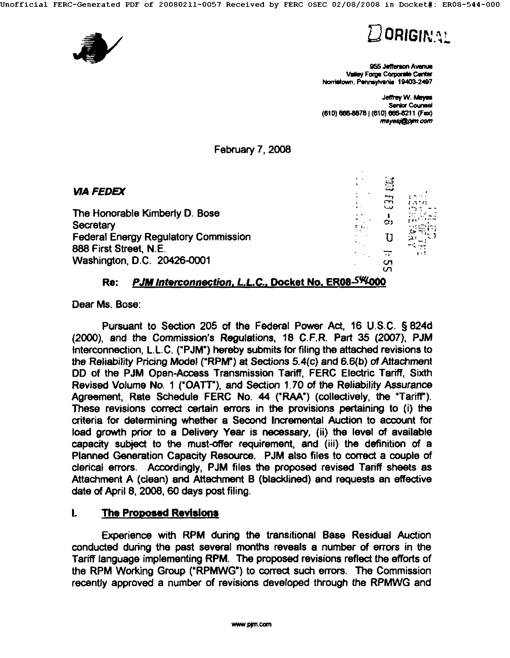



955 Jefferson Awarus Valley Forge Corporate Center Norristown, Pennsylvania 19403-2497

Jeffrey W. Mayes **Senior Counsel** (610) 666-8878 (610) 666-8211 (Fax)<br>mayesi@pim.com

February 7, 2008

| <b>VIA FEDEX</b>                                           |           | $\mathbb{S}$ |              |
|------------------------------------------------------------|-----------|--------------|--------------|
| The Honorable Kimberly D. Bose                             | $\bullet$ | بعدا<br>نت   | r in hen     |
| Secretary<br><b>Federal Energy Regulatory Commission</b>   |           |              |              |
| 888 First Street, N.E.<br>Washington, D.C. 20426-0001      |           | cл           | -77<br>1 + 2 |
| PJM Interconnection, L.L.C., Docket No, ER08-544000<br>Re: |           | ഗ            |              |

**Dear Ms. Bose:** 

Pursuant to Section 205 of the Federal Power Act, 16 U.S.C. § 824d (2000), and the Commission's Regulations, 18 C.F.R. Part 35 (2007), PJM Intarconnection, L.LC. ('PJM') hereby submits for filing the attached revisions to the Reliability Pricing Model ('RPM') at Sections 5.4(c) and 6.6(b) of Attachment DD of the PJM Open-Access Transmission Tariff, FERC Electric Tariff, Sixth Revised Volume No. 1 ('OATT'), and Section 1.70 of the Reliability Assurance Agreement, Rate Schedule FERC No. 44 ('RAA') (collectively, the "Tariff'). These revisions correct certain errors in the provisions pertaining to (i) the criteria for determining whether a Second Incremental Auction to account for load growth prior to a Delivery Year is necessary, (ii) the level of available capacity subject to the must-offer requirement, and (iii) the definition of a Planned Generation Capacity Resource. PJM also files to correct a couple of clerical errors. Accordingly, PJM files the proposed revised Tariff sheets as Attachment A (clean) and Attachment B (blacklined) and requests an effective date of April 8, 2008, 60 days post filing.

#### **I. The Proposed Revisions**

Experience with RPM during the transitional Base Residual Auction conducted during the past several months reveals a number of errors in the Tariff language implementing RPM. The proposed revisions reflect the efforts of the RPM Working Group ('RPMWG') to correct such errors. The Commission recently approved a number of revisions developed through the RPMWG and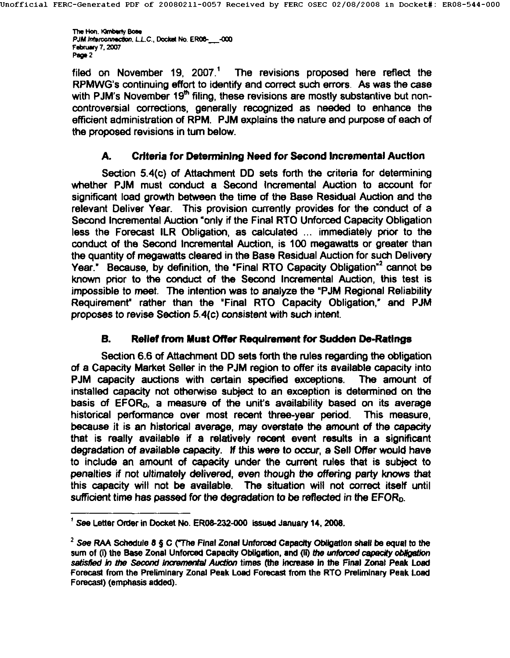The Hon, Kimbarly Bose<br>PJM Interconnection, L.L.C., Docket No. ER06- -000 February 7, 2007 Page 2

filed on November 19,  $2007<sup>1</sup>$  The revisions proposed here reflect the RPMWG's continuing effort to identify and correct such errors. As was the case with PJM's November 19<sup>th</sup> filing, these revisions are mostly substantive but noncontroversial corrections, generally recognized as needed to enhance the efficient administration of RPM. PJM explains the nature and purpose of each of the proposed revisions in tum below.

### A. Criteria for Debm~ning Need for Second Incremental **Auction**

Section 5.4(c) of Attachment DD sets forth the criteria for determining whether PJM must conduct a Second Incremental Auction to account for significant load growth between the time of the Base Residual Auction and the relevant Deliver Year. This provision currently provides for the conduct of a Second Incremental Auction "only if the Final RTO Unforced Capacity Obligation less the Forecast ILR Obligation, as calculated ... immediately prior to the conduct of the Second Incremental Auction, is 100 megawatts or greater than the quantity of megawatts cleared in the Base Residual Auction for such Delivery Year." Because, by definition, the "Final RTO Capacity Obligation" cannot be known prior to the conduct of the Second Incremental Auction, this test is impossible to meet. The intention was to analyze the "PJM Regional Reliability Requirement' rather than the 'Final RTO Capacity Obligation," and PJM proposes to revise Section 5.4(c) consistent with such intent.

### **B.** Relief from Must Offer Requirement **for Sudden** De-Ratlngs

Section 6.6 of Attachment DD sets forth the rules regarding the obligation of a Capacity Market Seller in the PJM region to offer its available capacity into PJM capacity auctions with certain specified exceptions. The amount of installed capacity not otherwise subject to an exception is determined on the basis of EFOR<sub>0</sub>, a measure of the unit's availability based on its average historical performance over most recent three-year period. This measure, because it is an historical average, may overstate the amount of the capacity that is really available if a relatively recent event results in a significant degradation of available capacity. If this were to occur, a Sell Offer would have to include an amount of capacity under the current rules that is subject to penalties if not ultimately *delivered,* even though the offering party knows that this capacity will not be available. The situation will not correct itself until sufficient time has passed for the degradation to be reflected in the EFORo.

<sup>&#</sup>x27; See Letter Onler in Docket No. ER08-232-000 issued January 14, 2008.

<sup>&</sup>lt;sup>2</sup> See RAA Schedule 8 § C ("The Final Zonal Unforced Capacity Obligation shall be equal to the sum of (i) the Base Zonal Unforced Capacity Obligation, and (ii) the unforced capacity obligation satisfied in the Second Incremental Auction times (the increase in the Final Zonal Peak Load Forecast from the Preliminary Zonal Peak Load Forecast from the RTO Preliminary Peak Load Forecast) (emphasis added).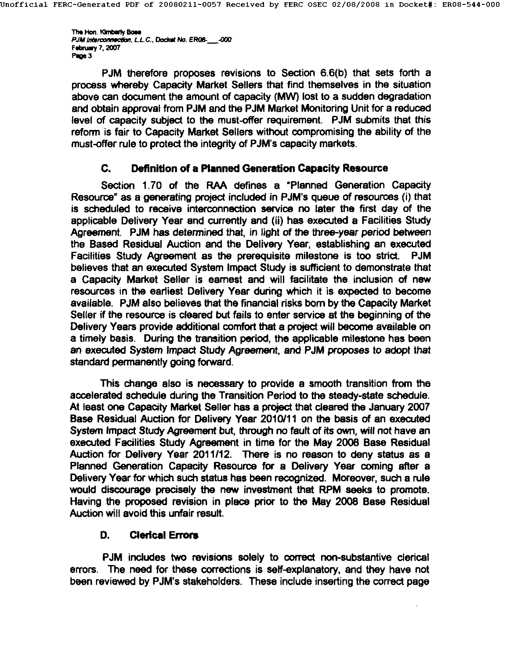The Hon. Kimberly Bose *PJM Interconnection, L.L.C., Doctet No. ER08-* -000 February 7, 2007 Page 3

PJM therefore proposes revisions to Section 6.6(b) that sets forth a process whereby Capacity Market Sellers that find themselves in the situation above can document the amount of capacity (MW) lost to a sudden degradation and obtain approval from PJM and the PJM Market Monitoring Unit for a reduced level of capacity subject to the must-offer requirement. PJM submits that this reform is fair to Capacity Market Sellers without compromising the ability of the must-offer rule to protect the integrity of PJM's capacity markets.

#### **C. Definition of a Planned Generation Capacity Resource**

Section 1.70 of the RAA defines a "Planned Generation Capacity Resource" as a generating project included in PJM's queue of resources (i) that is scheduled to receive interconnection service no later the first day of the applicable Delivery Year and currently and (ii) has executed a Facilities Study Agreement. PJM has determined that, in light of the three-year period between the Based Residual Auction and the Delivery Year, establishing an executed Facilities Study Agreement as the prerequisite milestone is too strict. PJM believes that an executed System Impact Study is sufficient to demonstrate that a Capacity Market Seller is earnest and will facilitate the inclusion of new resources in the earliest Delivery Year during which it is expected to become available. PJM also believes that the financial risks born by the Capacity Market Seller if the resource is cleared but fails to enter service at the beginning of the Delivery Years provide additional comfort that a project will become available on a timely basis. During the transition period, the applicable milestone has been an executed System Impact Study Agreement, and PJM proposes to adopt that standard permanently going forward.

This change also is necessary to provide a smooth transition from the accelerated schedule during the Transition Period to the steady-state schedule. At least one Capacity Market Seller has a project that cleared the January 2007 Base Residual Auction for Delivery Year 2010/11 on the basis of an executed System Impact Study Agreement but, through no fault of its own, will not have an executed Facilities Study Agreement in time for the May 2008 Base Residual Auction for Delivery Year 2011112. There is no reason to deny status as a Planned Generation Capacity Resource for a Delivery Year coming after a Delivery Year for which such status has been recognized. Moreover, such a rule would discourage precisely the new investment that RPM seeks to promote. Having the proposed revision in place prior to the May 2008 Base Residual Auction will avoid this unfair result.

#### D. Clerical Errors

PJM includes two revisions solely to correct non-substantive clerical errors. The need for these corrections is serf-explanatory, and they have not been reviewed by PJM's stakeholders. These include inserting the correct page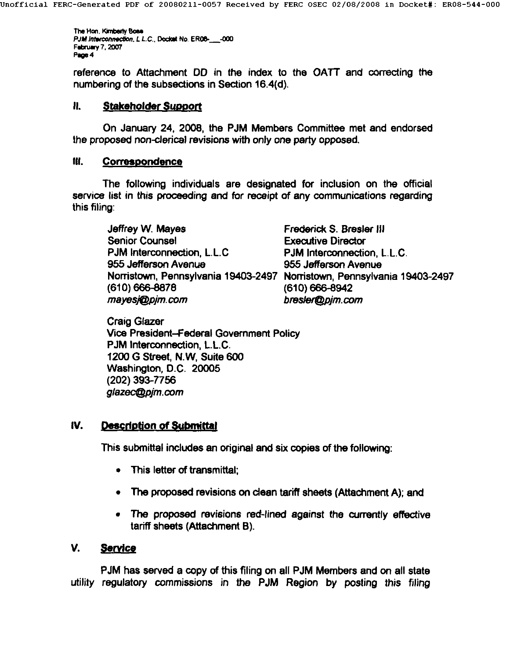The Hon. Kimberly Bose *PJM Interconnection, L.L.C., Doctort No. ER08-* -000 February 7, 2007<br>Page 4

reference to Attachment DD in the index to the OATT and correcting the numbering of the subsections in Section 16.4(d).

#### **II.** Stakeholder Support

**On January 24, 2008, the PJM Members Committee met and endorsed**  the proposed non-clerical revisions with only one party opposed.

#### IlL Correspondence

The following individuals are designated for inclusion on the official service list in this proceeding and for receipt of any communications regarding this filing:

Jeffrey W. Mayes **Frederick S. Bresler III** Senior Counsel **Executive Director** PJM Interconnection, L.L.C PJM Interconnection, L.L.C. 955 Jefferson Avenue 955 Jefferson Avenue (610) 666-8878 (610) 666-8942 mayes**i@pim.com bresler(@pim.com** 

Norristown, Pennsylvania 19403-2497 Norristown, Pennsylvania 19403-2497

Craig Glazer Vice President-Federal Government Policy PJM Interconnection, L.L.C. 1200 G Street, N.W, Suite 600 Washington, D.C. 20005 (202) 393-7756 *g/azec@pjm.com* 

#### IV. Description of Submittal

This submittal includes an original and six copies of the following:

- This letter of transmittal;
- The proposed revisions on dean tariff sheets (Attachment A); and
- The proposed revisions red-lined against the currently effective tariff sheets (Attachment B).

#### V. Service

utility regulatory commissions in the PJM Region by posting this filing PJM has served a copy of this filing on all PJM Members and on all state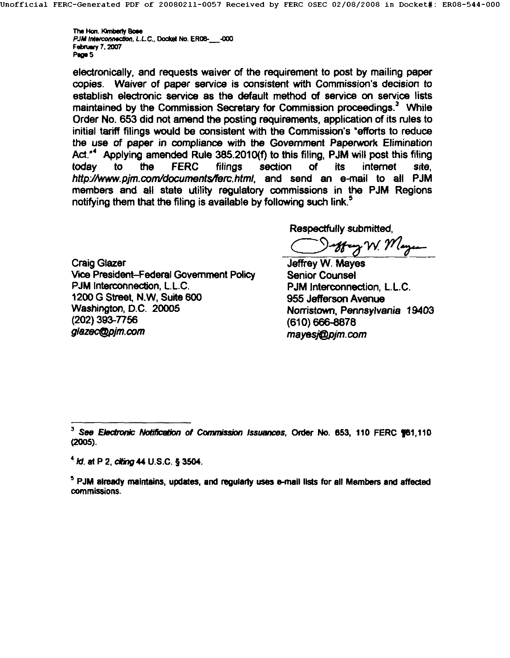The Hon. Kimberly Bone *PJM Interconnection, L.L.C., Docket No. ER08-* -000 Februwy 7. 2007 Page 5

electronically, and requests waiver of the requirement to post by mailing paper copies. Waiver of paper service is consistent with Commission's decision to establish electronic service as the default method of service on service lists maintained by the Commission Secretary for Commission proceedings.<sup>3</sup> While Order No. 653 did not amend the posting requirements, application of its rules to initial tariff filings would be consistent with the Commission's "efforts to reduce the use of paper in compliance with the Government Paperwork Elimination Act."<sup>4</sup> Applying amended Rule 385.2010(f) to this filing. PJM will post this filing today to the FERC filings section of its internet site, *httpJ/www.pjm.corrddocuments/[em.html,* and send an e-mail to all PJM members and all state utility regulatory commissions in the PJM Regions notifying them that the filing is available by following such link.<sup>5</sup>

Respectfully submitted,

offrag W. Mayer

Craig Glazer Vice President-Federal Government Policy PJM Interconnection, L.L.C. 1200 G Street, N.W, Suite 600 Washington, D.C. 20005 (202) 393-7756 glazec@pim.com

Jeffrey W. Mayes Senior Counsel PJM Interconnection, L.L.C. 955 Jefferson Avenue Norristown, Pennsylvania 19403 (610) 666-8878 *mayesj@pjm.com* 

See Electronic Notification of Commission Issuances, Order No. 653, 110 FERC  $$61,110$ **(20o5).** 

 $^{4}$  *ld.* at P 2, citing 44 U.S.C. § 3504.

 $<sup>5</sup>$  PJM already maintains, updates, and regularly uses e-mail lists for all Members and affected</sup> commissions.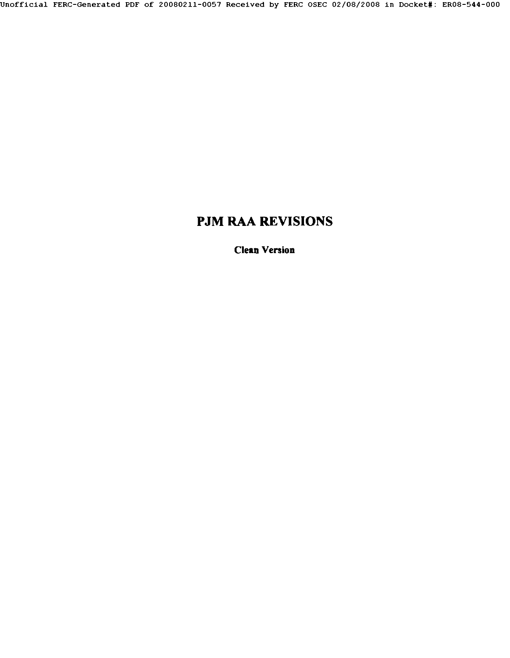## **PJM RAA REVISIONS**

Clean Version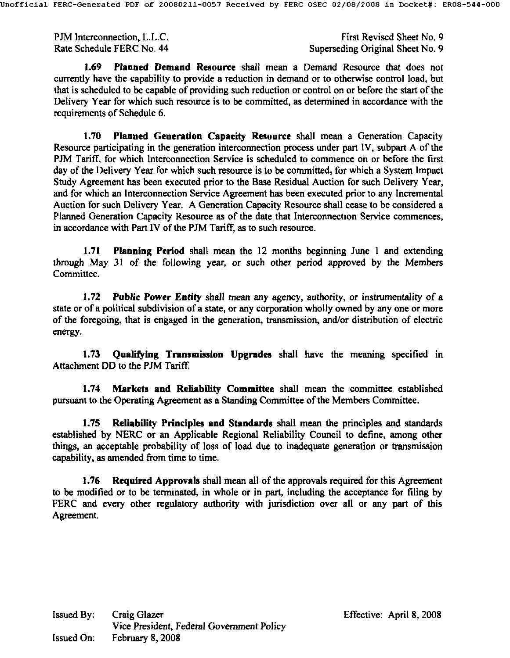PJM lnterconnection, L.L.C. Rate Schedule FERC No. 44

First Revised Sheet No. 9 Superseding Original Sheet No. 9

1.69 Planned **Demand Resource** shall mean a Demand Resource that does not currently have the capability to provide a reduction in demand or to otherwise control load, but that is scheduled to be capable of providing such reduction or control on or before the start of the Delivery Year for which such resource is to be committed, as determined in accordance with the requirements of Schedule 6.

**1.70 Planned Generation Capaeity Resource** shall mean a Generation Capacity Resource participating in the generation interconneetion process under part IV, subpart A of the PJM Tariff, for which Interconnection Service is scheduled to commence on or before the first day of the Delivery Year for which such resource is to be committed, for which a System Impact Study Agreement has been executed prior to the Base Residual Auction for such Delivery Year, and for which an Interconnection Service Agreement has been executed prior to any Incremental Auction for such Delivery Year. A Generation Capacity Resource shall cease to he considered a Planned Generation Capacity Resource as of the date that Interconnection Service commences, in accordance with Part IV of the PJM Tariff, as to such resource.

1.71 Planning Period shall mean the 12 months beginning June 1 and extending through May 31 of the following year, or such other period approved by the Members Committee.

1.72 *Public* Power Entity shall mean any agency, authority, or instrumentality of a state or of a political subdivision of a state, or any corporation wholly owned by any one or more of the foregoing, that is engaged in the generation, transmission, and/or distribution of electric energy.

1.73 Qualifying Transmission Upgrades shall have the meaning specified in Attachment DD to the PJM Tariff.

**1.74 Markets and Reliability Committee** shall mean the committee established pursuant to the Operating Agreement as a Standing Committee of the Members Committee.

1.75 Reliability Principles **and Standards** shall mean the principles and standards established by NERC or an Applicable Regional Reliability Council to define, among other things, an acceptable probability of loss of load due to inadequate generation or transmission capability, as amended from time to time.

1.76 Required Approvals shall mean all of the approvals required for this Agreement to be modified or to be terminated, in whole or in part, including the acceptance for filing by FERC and every other regulatory authority with jurisdiction over all or any part of this Agreement.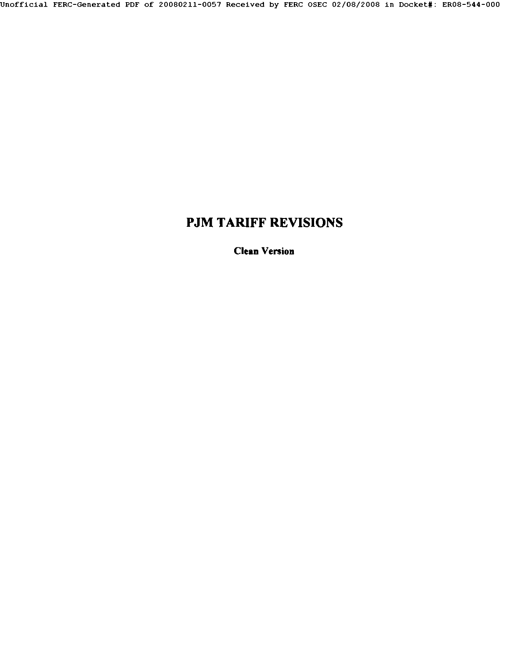# **PJM TARIFF REVISIONS**

Clean Version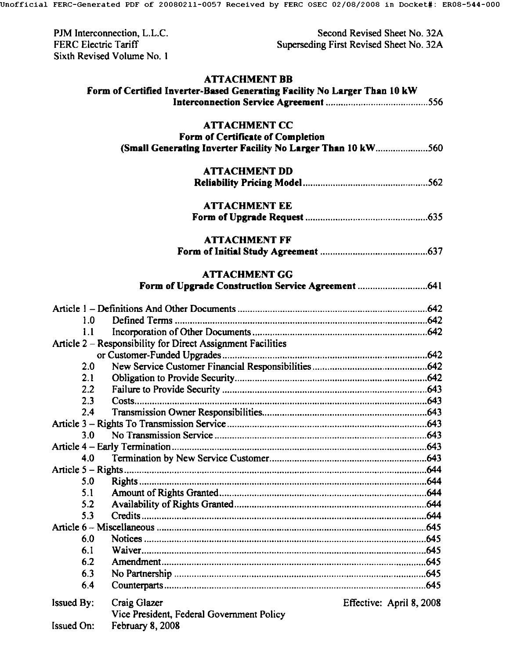| PJM Interconnection, L.L.C. |
|-----------------------------|
| FERC Electric Tariff        |
| Sixth Revised Volume No. 1  |

Second Revised Sheet No. 32A Superseding First Revised Sheet No. 32A

## **ATTACHMENT BB**

|                                                             | Form of Certified Inverter-Based Generating Facility No Larger Than 10 kW |                          |  |  |
|-------------------------------------------------------------|---------------------------------------------------------------------------|--------------------------|--|--|
|                                                             |                                                                           |                          |  |  |
|                                                             | <b>ATTACHMENT CC</b>                                                      |                          |  |  |
|                                                             | Form of Certificate of Completion                                         |                          |  |  |
| (Small Generating Inverter Facility No Larger Than 10 kW560 |                                                                           |                          |  |  |
|                                                             |                                                                           |                          |  |  |
|                                                             | <b>ATTACHMENT DD</b>                                                      |                          |  |  |
|                                                             |                                                                           |                          |  |  |
|                                                             |                                                                           |                          |  |  |
|                                                             | <b>ATTACHMENT EE</b>                                                      |                          |  |  |
|                                                             |                                                                           |                          |  |  |
|                                                             | <b>ATTACHMENT FF</b>                                                      |                          |  |  |
|                                                             |                                                                           |                          |  |  |
|                                                             |                                                                           |                          |  |  |
|                                                             | <b>ATTACHMENT GG</b>                                                      |                          |  |  |
|                                                             |                                                                           |                          |  |  |
|                                                             |                                                                           |                          |  |  |
| 1.0                                                         |                                                                           |                          |  |  |
| 1.1                                                         |                                                                           |                          |  |  |
|                                                             | Article 2 – Responsibility for Direct Assignment Facilities               |                          |  |  |
|                                                             |                                                                           |                          |  |  |
| 2.0                                                         |                                                                           |                          |  |  |
| 2.1                                                         |                                                                           |                          |  |  |
| 2.2                                                         |                                                                           |                          |  |  |
| 2.3                                                         |                                                                           |                          |  |  |
| 2.4                                                         |                                                                           |                          |  |  |
|                                                             |                                                                           |                          |  |  |
| 3.0                                                         |                                                                           |                          |  |  |
|                                                             |                                                                           |                          |  |  |
| 4.0                                                         |                                                                           |                          |  |  |
|                                                             |                                                                           |                          |  |  |
| 5.0                                                         |                                                                           |                          |  |  |
| 5.1                                                         |                                                                           |                          |  |  |
| 5.2                                                         |                                                                           |                          |  |  |
| 5.3                                                         |                                                                           |                          |  |  |
|                                                             |                                                                           |                          |  |  |
| 6.0                                                         |                                                                           |                          |  |  |
| 6.1                                                         |                                                                           |                          |  |  |
| 6.2                                                         |                                                                           |                          |  |  |
| 6.3                                                         |                                                                           |                          |  |  |
| 6.4                                                         |                                                                           |                          |  |  |
| Issued By:                                                  | Craig Glazer                                                              | Effective: April 8, 2008 |  |  |
|                                                             | Vice President, Federal Government Policy                                 |                          |  |  |
| <b>Issued On:</b>                                           | February 8, 2008                                                          |                          |  |  |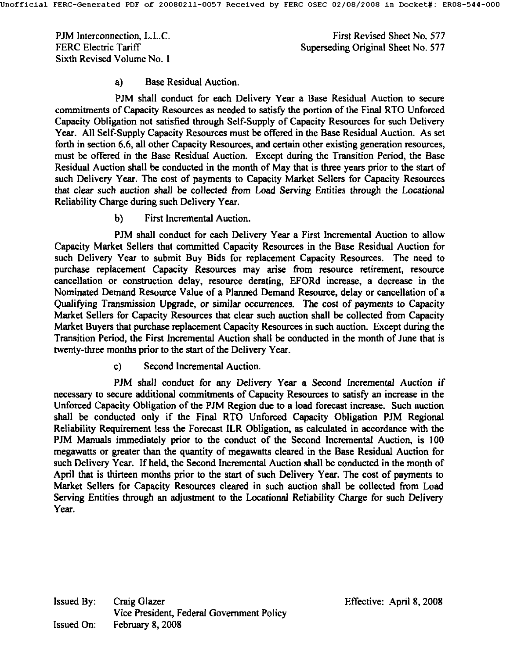PJM Interconnection, L.L.C. FERC Electric Tariff Sixth Revised Volume No. 1

First Revised Sheet No. 577 Superseding Original Sheet No. 577

#### **a)** Base Residual Auction.

PJM shall conduct for each Delivery Year a Base Residual Auction to secure commitments of Capacity Resources as needed to satisfy the portion of the Final RTO Unforced Capacity Obligation not satisfied through Self-Supply of Capacity Resources for such Delivery Year. All Self-Supply Capacity Resources must be offered in the Base Residual Auction. As set forth in section 6.6, all other Capacity Resources, and certain other existing generation resources, must be offered in the Base Residual Auction. Except during the Transition Period, the Base Residual Auction shall be conducted in the month of May that is three years prior to the start of such Delivery Year. The cost of payments to Capacity Market Sellers for Capacity Resources that clear such auction shall be collected from Load Serving Entities through the Locational Reliability Charge during such Delivery Year.

**b)** First Incremental Auction.

PJM shall conduct for each Delivery Year a First Incremental Auction to allow Capacity Market Sellers that committed Capacity Resources in the Base Residual Auction for such Delivery Year to submit Buy Bids for replacement Capacity Resources. The need to purchase replacement Capacity Resources may arise from resource retirement, resource cancellation or construction delay, resource derating, EFORd increase, a decrease in the Nominated Demand Resource Value of a Planned Demand Resource, delay or cancellation of a Qualifying Transmission Upgrade, or similar occurrences. The cost of payments to Capacity Market Sellers for Capacity Resources that clear such auction shall be collected from Capacity Market Buyers that purchase replacement Capacity Resources in such auction. Except during the Transition Period, the First Incremental Auction shall be conducted in the month of June that is twenty-three months prior to the start of the Delivery Year.

c) Second Incremental Auction.

PJM shall conduct for any Delivery Year a Second Incremental Auction if necessary to secure additional commitments of Capacity Resources to satisfy an increase in the Unforced Capacity Obligation of the PJM Region due to a load forecast increase. Such auction shall be conducted only if the Final RTO Unforced Capacity Obligation PJM Regional Reliability Requirement less the Forecast ILR Obligation, as calculated in accordance with the PJM Manuals immediately prior to the conduct of the Second Incremental Auction, is 100 megawatts or greater than the quantity of megawatts cleared in the Base Residual Auction for such Delivery Year. If held, the Second Incremental Auction shall be conducted in the month of April that is thirteen months prior to the start of such Delivery Year. The cost of payments to Market Sellers for Capacity Resources cleared in such auction shall be collected from Load Serving Entities through an adjustment to the Locational Reliability Charge for such Delivery Year.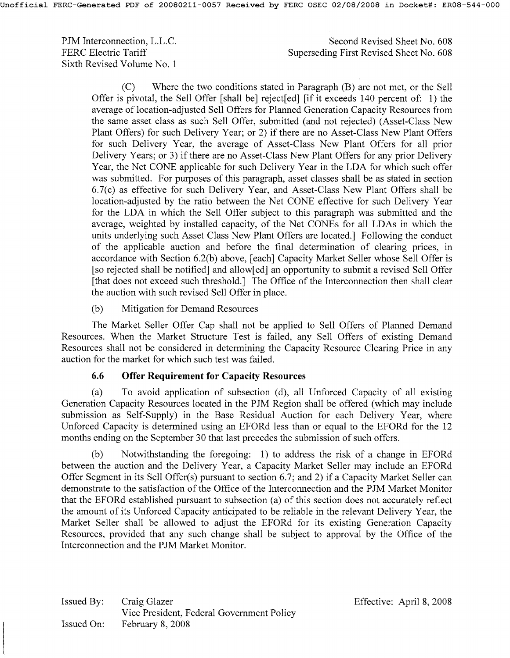PJM Interconnection, L.L.C. FERC Electric Tariff Sixth Revised Volume No. 1 Second Revised Sheet No. 608 Superseding First Revised Sheet No. 608

(C) Where the two conditions stated in Paragraph (B) are not met, or the Sell Offer is pivotal, the Sell Offer [shall be] reject[ed] [if it exceeds 140 percent of: 1) the average of location-adjusted Sell Offers for Planned Generation Capacity Resources from the same asset class as such Sell Offer, submitted (and not rejected) (Asset-Class New Plant Offers) for such Delivery Year; or 2) if there are no Asset-Class New Plant Offers for such Delivery Year, the average of Asset-Class New Plant Offers for all prior Delivery Years; or 3) if there are no Asset-Class New Plant Offers for any prior Delivery Year, the Net CONE applicable for such Delivery Year in the LDA for which such offer was submitted. For purposes of this paragraph, asset classes shall be as stated in section 6.7(c) as effective for such Delivery Year, and Asset-Class New Plant Offers shall be location-adjusted by the ratio between the Net CONE effective for such Delivery Year for the LDA in which the Sell Offer subject to this paragraph was submitted and the average, weighted by installed capacity, of the Net CONEs for all LDAs in which the units underlying such Asset Class New Plant Offers are located.] Following the conduct of the applicable auction and before the final determination of clearing prices, in accordance with Section 6.2(b) above, [each] Capacity Market Seller whose Sell Offer is [so rejected shall be notified] and allow[ed] an opportunity to submit a revised Sell Offer [that does not exceed such threshold.] The Office of the Interconnection then shall clear the auction with such revised Sell Offer in place.

(b) Mitigation for Demand Resources

The Market Seller Offer Cap shall not be applied to Sell Offers of Planned Demand Resources. When the Market Structure Test is failed, any Sell Offers of existing Demand Resources shall not be considered in determining the Capacity Resource Clearing Price in any auction for the market for which such test was failed.

#### **6.6 Offer Requirement for Capacity Resources**

(a) To avoid application of subsection (d), all Unforced Capacity of all existing Generation Capacity Resources located in the PJM Region shall be offered (which may include submission as Self-Supply) in the Base Residual Auction for each Delivery Year, where Unforced Capacity is determined using an EFORd less than or equal to the EFORd for the 12 months ending on the September 30 that last precedes the submission of such offers.

(b) Notwithstanding the foregoing: 1) to address the risk of a change in EFORd between the auction and the Delivery Year, a Capacity Market Seller may include an EFORd Offer Segment in its Sell Offer(s) pursuant to section 6.7; and 2) if a Capacity Market Seller can demonstrate to the satisfaction of the Office of the Interconnection and the PJM Market Monitor that the EFORd established pursuant to subsection (a) of this section does not accurately reflect the amount of its Unforced Capacity anticipated to be reliable in the relevant Delivery Year, the Market Seller shall be allowed to adjust the EFORd for its existing Generation Capacity Resources, provided that any such change shall be subject to approval by the Office of the Interconnection and the PJM Market Monitor.

Issued By: Issued On: Craig Glazer Vice President, Federal Government Policy February 8, 2008

Effective: April 8, 2008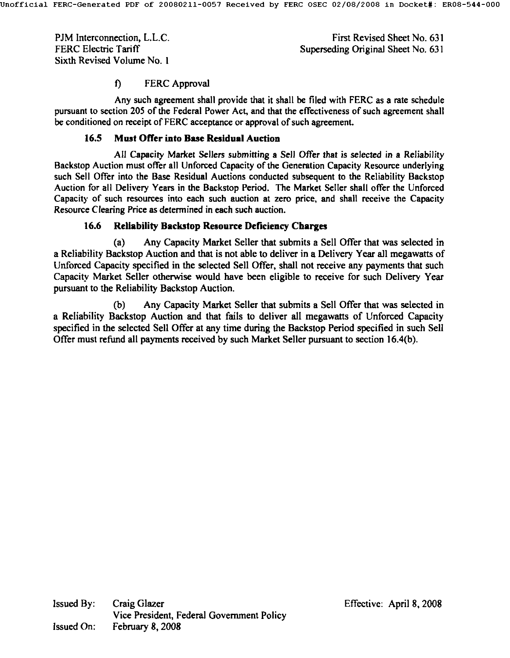PJM lnterconnection, L.L.C. FERC Electric Tariff Sixth Revised Volume No. 1

First Revised Sheet No. **631**  Superseding Original Sheet No, **631** 

#### f) FERC Approval

Any such agreement shall provide that it shall be filed with FERC as a rate schedule pursuant to section 205 of the Federal Power Act, and that the effectiveness of such agreement shall be conditioned on receipt of FERC acceptance or approval of such agreement.

#### **16.5 Must Offer into Base Residual Auction**

All Capacity Market Sellers submitting a Sell Offer that is selected in a Reliability Backstop Auction must offer all Unforced Capacity of the Generation Capacity Resource underlying such Sell Offer into the Base Residual Auctions conducted subsequent to the Reliability Backstop Auction for all Delivery Years in the Backstop Period. The Market Seller shall offer the Unforced Capacity of such resources into each such auction at zero price, and shall receive the Capacity Resource Clearing Price as determined in each such auction.

#### **16.6 Reliability Backstop Resource Deficiency Charges**

(a) Any Capacity Market Seller that submits a Sell Offer that was selected in a Reliability Backstop Auction and that is not able to deliver in a Delivery Year all megawatts of Unforced Capacity specified in the selected Sell Offer, shall not receive any payments that such Capacity Market Seller otherwise would have been eligible to receive for such Delivery Year pursuant to the Reliability Backstop Auction.

(b) Any Capacity Market Seller that submits a Sell Offer that was selected in a Reliability Backstop Auction and that fails to deliver all megawatts of Unforced Capacity specified in the selected Sell Offer at any time during the Backstop Period specified in such Sell Offer must refund all payments received by such Market Seller pursuant to section 16.4(b).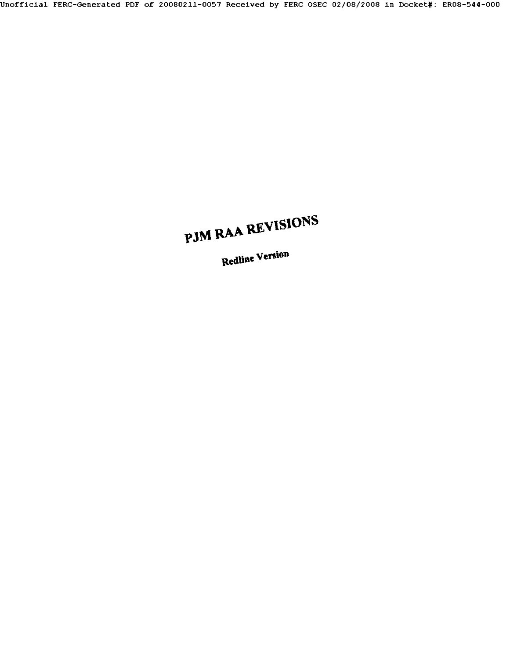# **PJM RAA REVISIONS**

Redline Version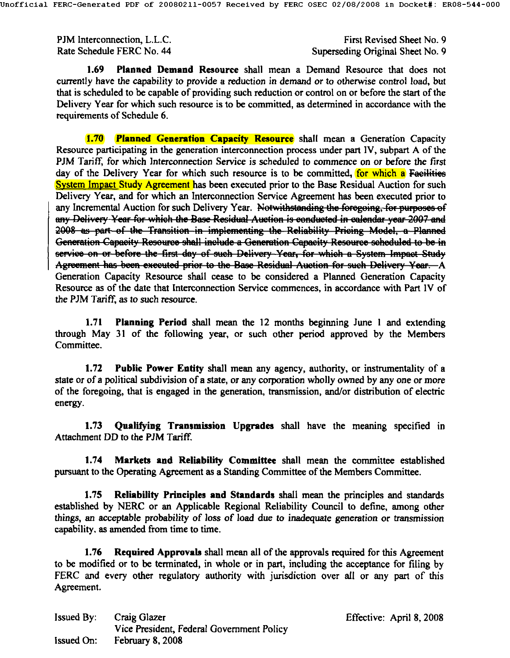PJM Interconnection, L.L.C. The connection of the connection of the connection of the connection of the connection of the connection of the connection of the connection of the connection of the connection of the connection Rate Schedule FERC No. 44 Superseding Original Sheet No. 9

1.69 Planned Demand Resource shall mean a Demand Resource that does not currently have the capability to provide a reduction in demand or to otherwise control load, but that is scheduled to be capable of providing such reduction or control on or before the start of the Delivery. Year for which such resource is to be committed, as determined in accordance with the requirements of Schedule 6.

1.70 Planned Generation Capacity Resource shall mean a Generation Capacity Resource participating in the generation interconnection process under part IV, subpart A of the PJM Tariff, for which Interconnection Service is scheduled to commence on or before the first day of the Delivery Year for which such resource is to be committed, for which a Faeilities System Impact Study Agreement has been executed prior to the Base Residual Auction for such Delivery Year, and for which an Interconnection Service Agreement has been executed prior to any Incremental Auction for such Delivery Year. Notwithstanding the foregoing, for purposes of any Delivery Year for which the Base Residual Auction is conducted in calendar year 2007 and 2008 as part of the Transition in implementing the Reliability Pricing Model, a Planned Generation Capacity Resource shall include a Generation Capacity Resource scheduled to be in service on or before the first day of such Delivery Year, for which a System Impact Study Agreement has been exceuted prior to the Base Residual Auction for such Delivery Year. A Generation Capacity Resource shall cease to be considered a Planned Generation Capacity Resource as of the date that Interconnection Service commences, in accordance with Part IV of the PJM Tariff, as to such resource.

1.71 Planning Period shall mean the 12 months beginning June 1 and extending through May 31 of the following year, or such other period approved by the Members Committee.

1.72 Public Power Entity shall mean any agency, authority, or instrumentality of a state or of a political subdivision of a state, or any corporation wholly owned by any one or more of the foregoing, that is engaged in the generation, transmission, and/or distribution of electric energy.

1.73 Qualifying Transmission Upgrades shall have the meaning specified in Attachment DD to the PJM Tariff.

1.74 Markets and Reliability Committee shall mean the committee established pursuant to the Operating Agreement as a Standing Committee of the Members Committee.

**1.75** Reliability Principles and Standards shall mean the principles and standards established by NERC or an Applicable Regional Reliability Council to define, among other things, an acceptable probability of loss of load due to inadequate generation or transmission capability, as amended from time to time.

1.76 Required Approvals shall mean all of the approvals required for this Agreement to be modified or to be terminated, in whole or in part, including the acceptance for filing by FERC and every other regulatory authority with jurisdiction over all or any part of this Agreement.

| <b>Issued By:</b> | Craig Glazer                              |
|-------------------|-------------------------------------------|
|                   | Vice President, Federal Government Policy |
| <b>Issued On:</b> | <b>February 8, 2008</b>                   |

Effective: April 8, 2008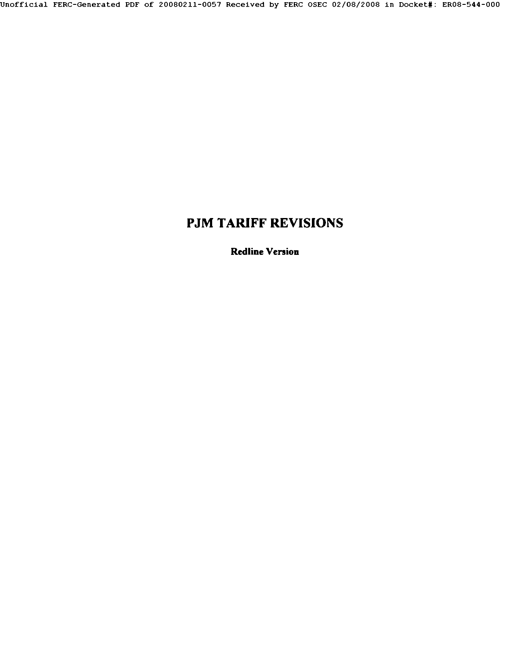## **PJM TARIFF REVISIONS**

Redline Version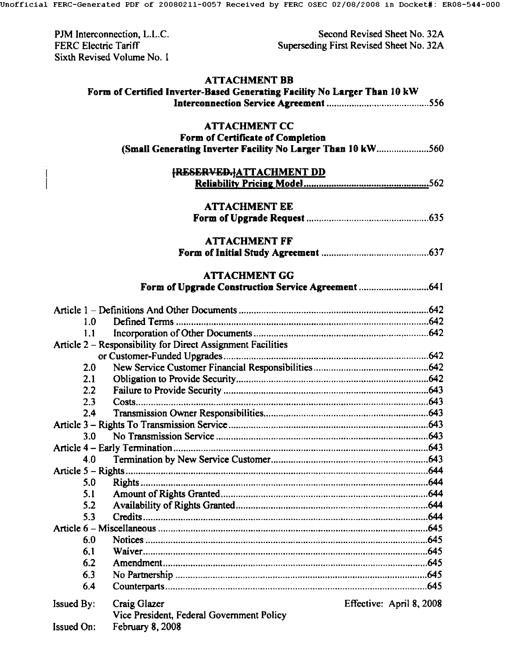| PJM Interconnection, L.L.C. |
|-----------------------------|
| FERC Electric Tariff        |
| Sixth Revised Volume No. 1  |

 $\overline{\phantom{a}}$  $\overline{\mathsf{I}}$ 

Second Revised Sheet No. 32A Superseding First Revised Sheet No. 32A

# **ATTACHMENT BB**

|                   | Form of Certified Inverter-Based Generating Facility No Larger Than 10 kW                        |                          |  |  |
|-------------------|--------------------------------------------------------------------------------------------------|--------------------------|--|--|
|                   |                                                                                                  |                          |  |  |
|                   | <b>ATTACHMENT CC</b>                                                                             |                          |  |  |
|                   |                                                                                                  |                          |  |  |
|                   | Form of Certificate of Completion<br>(Small Generating Inverter Facility No Larger Than 10 kW560 |                          |  |  |
|                   |                                                                                                  |                          |  |  |
|                   | <b>{RESERVED.}ATTACHMENT DD</b>                                                                  |                          |  |  |
|                   |                                                                                                  |                          |  |  |
|                   |                                                                                                  |                          |  |  |
|                   | <b>ATTACHMENT EE</b>                                                                             |                          |  |  |
|                   |                                                                                                  |                          |  |  |
|                   | <b>ATTACHMENT FF</b>                                                                             |                          |  |  |
|                   |                                                                                                  |                          |  |  |
|                   |                                                                                                  |                          |  |  |
|                   | <b>ATTACHMENT GG</b>                                                                             |                          |  |  |
|                   |                                                                                                  |                          |  |  |
|                   |                                                                                                  |                          |  |  |
| 1.0               |                                                                                                  |                          |  |  |
| 1.1               |                                                                                                  |                          |  |  |
|                   | Article 2 - Responsibility for Direct Assignment Facilities                                      |                          |  |  |
|                   |                                                                                                  |                          |  |  |
| 2.0               |                                                                                                  |                          |  |  |
| 2.1               |                                                                                                  |                          |  |  |
| 2.2               |                                                                                                  |                          |  |  |
| 2.3               |                                                                                                  |                          |  |  |
| 2.4               |                                                                                                  |                          |  |  |
|                   |                                                                                                  |                          |  |  |
| 3.0               |                                                                                                  |                          |  |  |
|                   |                                                                                                  |                          |  |  |
| 4.0               |                                                                                                  |                          |  |  |
|                   |                                                                                                  |                          |  |  |
| 5.0               |                                                                                                  |                          |  |  |
| 5.1               |                                                                                                  |                          |  |  |
| 5.2               |                                                                                                  |                          |  |  |
| 5.3               |                                                                                                  |                          |  |  |
|                   |                                                                                                  |                          |  |  |
| 6.0               |                                                                                                  |                          |  |  |
| 6.1               |                                                                                                  |                          |  |  |
| 6.2               |                                                                                                  |                          |  |  |
| 6.3               |                                                                                                  |                          |  |  |
| 6.4               |                                                                                                  |                          |  |  |
| <b>Issued By:</b> | Craig Glazer                                                                                     | Effective: April 8, 2008 |  |  |
|                   | Vice President, Federal Government Policy                                                        |                          |  |  |
| <b>Issued On:</b> | February 8, 2008                                                                                 |                          |  |  |
|                   |                                                                                                  |                          |  |  |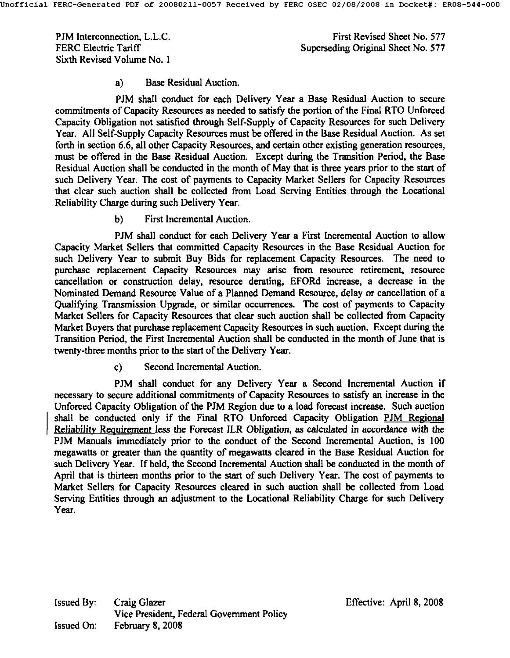PJM lnterconnection, L.L.C. FERC Electric Tariff Sixth Revised Volume No. 1

First Revised Sheet No. 577 Superseding Original Sheet No. 577

#### a) Base Residual Auction.

PJM shall conduct for each Delivery Year a Base Residual Auction to secure commitments of Capacity Resources as needed to satisfy the portion of the Final RTO Unforced Capacity Obligation not satisfied through Self-Supply of Capacity Resources for such Delivery Year. All Self-Supply Capacity Resources must be offered in the Base Residual Auction. As set forth in section 6.6, all other Capacity Resources, and certain other existing generation resources, must be offered in the Base Residual Auction. Except during the Transition Period, the Base Residual Auction shall be conducted in the month of May that is three years prior to the start of such Delivery Year. The cost of payments to Capacity Market Sellers for Capacity Resources that clear such auction shall be collected from Load Serving Entities through the Loeational Reliability Charge during such Delivery Year.

b) First Incremental Auction.

PJM shall conduct for each Delivery Year a First Incremental Auction to allow Capacity Market Sellers that committed Capacity Resources in the Base Residual Auction for such Delivery Year to submit Buy Bids for replacement Capacity Resources. The need to purchase replacement Capacity Resources may arise from resource retirement. resource cancellation or construction delay, resource derating, EFORd increase, a decrease in the Nominated Demand Resource Value of a Planned Demand Resource, delay or cancellation of a Qualifying Transmission Upgrade, or similar occurrences. The cost of payments to Capacity Market Sellers for Capacity Resources that clear such auction shall be collected from Capacity Market Buyers that purchase replacement Capacity Resources in such auction. Except during the Transition Period, the First Incremental Auction shall be conducted in the month of June that is twenty-three months prior to the start of the Delivery Year.

c) Second Incremental Auction.

PJM shall conduct for any Delivery Year a Second Incremental Auction if necessary to secure additional commitments of Capacity Resources to satisfy an increase in the Unforced Capacity Obligation of the PJM Region due to a load forecast increase. Such anetion shall be conducted only if the Final RTO Unforced Capacity Obligation PJM Regional Reliability Requirement less the Forecast ILR Obligation, as calculated in accordance with the PJM Manuals immediately prior to the conduct of the Second Incremental Auction, is 100 megawatts or greater than the quantity of megawatts cleared in the Base Residual Auction for such Delivery Year. If held, the Second Incremental Auction shall be conducted in the month of April that is thirteen months prior to the start of such Delivery Year. The cost of payments to Market Sellers for Capacity Resources cleared in such auction shall be collected from Load Serving Entities through an adjustment to the Locational Reliability Charge for such Delivery Year.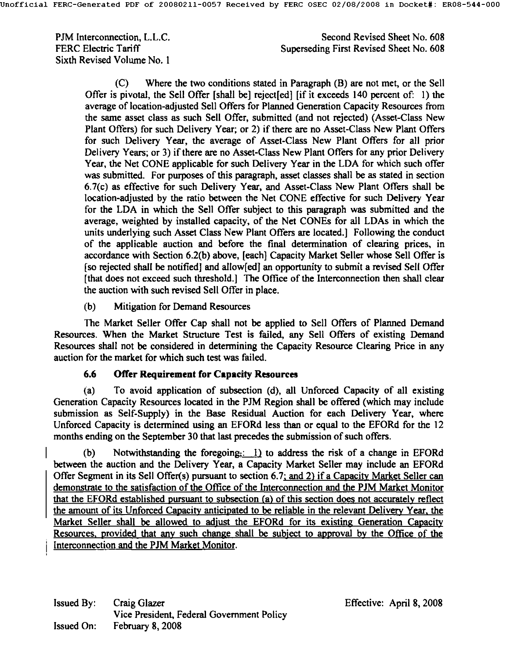PJM lnterconnection, L.L.C. FERC Electric Tariff Sixth Revised Volume No. I

Second Revised Sheet No. 608 Superseding First Revised Sheet No. 608

(C) Where the two conditions stated in Paragraph (B) are not met, or the Sell Offer is pivotal, the Sell Offer [shall be] reject[ed] [if it exceeds 140 percent of: 1) the average of location-adjusted Sell Offers for Planned Generation Capacity Resources from the same asset class as such Sell Offer, submitted (and not rejected) (Asset-Class New Plant Offers) for such Delivery Year; or 2) if there are no Asset-Class New Plant Offers for such Delivery Year, the average of Asset-Class New Plant Offers for all prior Delivery Years; or 3) if there are no Asset-Class New Plant Offers for any prior Delivery Year, the Net CONE applicable for such Delivery Year in the LDA for which such offer was submitted. For purposes of this paragraph, asset classes shall be as stated in section 6.7(c) as effective for such Delivery Year, and Asset-Class New Plant Offers shall be location-adjusted by the ratio between the Net CONE effective for such Delivery Year for the LDA in which the Sell Offer subject to this paragraph was submitted and the average, weighted by installed capacity, of the Net CONEs for all LDAs in which the units underlying such Asset Class New Plant Offers are located.] Following the conduct of the applicable auction and before the final determination of clearing prices, in accordance with Section 6.2(b) above, [each] Capacity Market Seller whose Sell Offer is [so rejected shall be notified] and allow[ed] an opportunity to submit a revised Sell Offer [that does not exceed such threshold.] The Office of the Interconnection then shall clear the auction with such revised Sell Offer in place.

(b) Mitigation for Demand Resources

The Market Seller Offer Cap shall not be applied to Sell Offers of Planned Demand Resources. When the Market Structure Test is failed, any Sell Offers of existing Demand Resources shall not be considered in determining the Capacity Resource Clearing Price in any auction for the market for which such test was failed.

#### **6.6 Offer Requirement for Capacity Resources**

(a) To avoid application of subsection (d), all Unforced Capacity of all existing Generation Capacity Resources located in the PJM Region shall be offered (which may include submission as Self-Supply) in the Base Residual Auction for each Delivery Year, where Unforced Capacity is determined using an EFORd less than or equal to the EFORd for the 12 months ending on the September 30 that last precedes the submission of such offers.

(b) Notwithstanding the foregoing; $\therefore$  1) to address the risk of a change in EFORd between the auction and the Delivery Year, a Capacity Market Seller may include an EFORd Offer Segment in its Sell Offer(s) pursuant to section 6.7; and 2) if a Capacity Market Seller can demonstrate to the satisfaction of the Office of the Interconnection and the PJM Market Monitor that the EFORd established pursuant to subsection (a) of this section does not accurately reflect the amount of its Unforced Capacity anticipated to be reliable in the relevant Delivery Year, the Market Seller shall be allowed to adjust the EFORd for its existing Generation Capacity Resources, provided that any such change shall be subject to approval by the Office of the Interconnection and the PJM Market Monitor.